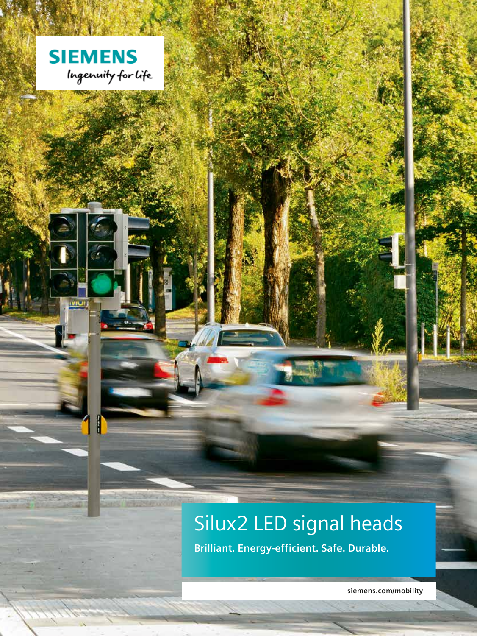

**IVIUI!** 

# Silux2 LED signal heads

**Brilliant. Energy-efficient. Safe. Durable.**

**siemens.com/mobility**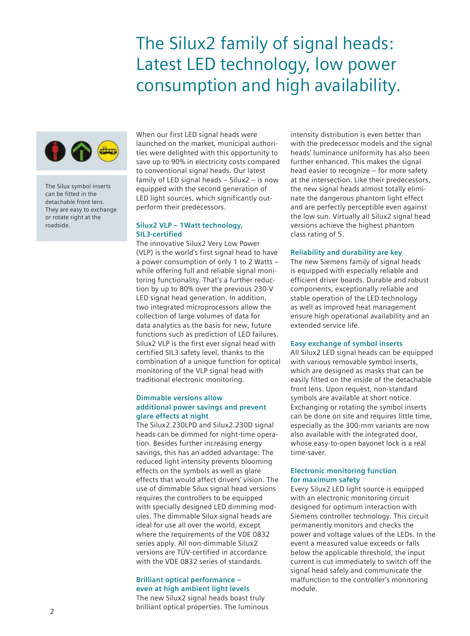### The Silux2 family of signal heads: Latest LED technology, low power consumption and high availability.



The Silux symbol inserts can be fitted in the detachable front lens. They are easy to exchange or rotate right at the roadside.

When our first LED signal heads were launched on the market, municipal authorities were delighted with this opportunity to save up to 90% in electricity costs compared to conventional signal heads. Our latest family of LED signal heads – Silux2 – is now equipped with the second generation of LED light sources, which significantly outperform their predecessors.

#### **Silux2 VLP – 1Watt technology, SIL3-certified**

The innovative Silux2 Very Low Power (VLP) is the world's first signal head to have a power consumption of only 1 to 2 Watts – while offering full and reliable signal monitoring functionality. That's a further reduction by up to 80% over the previous 230-V LED signal head generation. In addition, two integrated microprocessors allow the collection of large volumes of data for data analytics as the basis for new, future functions such as prediction of LED failures. Silux2 VLP is the first ever signal head with certified SIL3 safety level, thanks to the combination of a unique function for optical monitoring of the VLP signal head with traditional electronic monitoring.

#### **Dimmable versions allow additional power savings and prevent glare effects at night**

The Silux2.230LPD and Silux2.230D signal heads can be dimmed for night-time operation. Besides further increasing energy savings, this has an added advantage: The reduced light intensity prevents blooming effects on the symbols as well as glare effects that would affect drivers' vision. The use of dimmable Silux signal head versions requires the controllers to be equipped with specially designed LED dimming modules. The dimmable Silux signal heads are ideal for use all over the world, except where the requirements of the VDE 0832 series apply. All non-dimmable Silux2 versions are TÜV-certified in accordance with the VDE 0832 series of standards.

### **Brilliant optical performance – even at high ambient light levels**

The new Silux2 signal heads boast truly brilliant optical properties. The luminous intensity distribution is even better than with the predecessor models and the signal heads' luminance uniformity has also been further enhanced. This makes the signal head easier to recognize – for more safety at the intersection. Like their predecessors, the new signal heads almost totally eliminate the dangerous phantom light effect and are perfectly perceptible even against the low sun. Virtually all Silux2 signal head versions achieve the highest phantom class rating of 5.

#### **Reliability and durability are key**

The new Siemens family of signal heads is equipped with especially reliable and efficient driver boards. Durable and robust components, exceptionally reliable and stable operation of the LED technology as well as improved heat management ensure high operational availability and an extended service life.

#### **Easy exchange of symbol inserts**

All Silux2 LED signal heads can be equipped with various removable symbol inserts, which are designed as masks that can be easily fitted on the inside of the detachable front lens. Upon request, non-standard symbols are available at short notice. Exchanging or rotating the symbol inserts can be done on site and requires little time, especially as the 300-mm variants are now also available with the integrated door, whose easy-to-open bayonet lock is a real time-saver.

#### **Electronic monitoring function for maximum safety**

Every Silux2 LED light source is equipped with an electronic monitoring circuit designed for optimum interaction with Siemens controller technology. This circuit permanently monitors and checks the power and voltage values of the LEDs. In the event a measured value exceeds or falls below the applicable threshold, the input current is cut immediately to switch off the signal head safely and communicate the malfunction to the controller's monitoring module.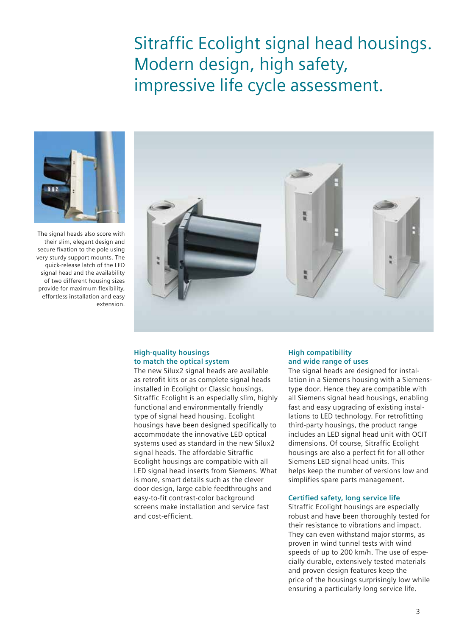### Sitraffic Ecolight signal head housings. Modern design, high safety, impressive life cycle assessment.



The signal heads also score with their slim, elegant design and secure fixation to the pole using very sturdy support mounts. The quick-release latch of the LED signal head and the availability of two different housing sizes provide for maximum flexibility, effortless installation and easy extension.



#### **High-quality housings to match the optical system**

The new Silux2 signal heads are available as retrofit kits or as complete signal heads installed in Ecolight or Classic housings. Sitraffic Ecolight is an especially slim, highly functional and environmentally friendly type of signal head housing. Ecolight housings have been designed specifically to accommodate the innovative LED optical systems used as standard in the new Silux2 signal heads. The affordable Sitraffic Ecolight housings are compatible with all LED signal head inserts from Siemens. What is more, smart details such as the clever door design, large cable feedthroughs and easy-to-fit contrast-color background screens make installation and service fast and cost-efficient.

#### **High compatibility and wide range of uses**

The signal heads are designed for installation in a Siemens housing with a Siemenstype door. Hence they are compatible with all Siemens signal head housings, enabling fast and easy upgrading of existing installations to LED technology. For retrofitting third-party housings, the product range includes an LED signal head unit with OCIT dimensions. Of course, Sitraffic Ecolight housings are also a perfect fit for all other Siemens LED signal head units. This helps keep the number of versions low and simplifies spare parts management.

#### **Certified safety, long service life**

Sitraffic Ecolight housings are especially robust and have been thoroughly tested for their resistance to vibrations and impact. They can even withstand major storms, as proven in wind tunnel tests with wind speeds of up to 200 km/h. The use of especially durable, extensively tested materials and proven design features keep the price of the housings surprisingly low while ensuring a particularly long service life.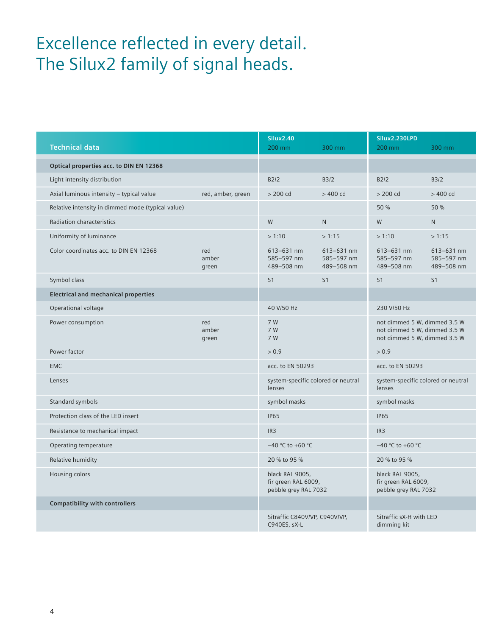### Excellence reflected in every detail. The Silux2 family of signal heads.

| <b>Technical data</b>                             |                       | <b>Silux2.40</b><br>200 mm                                     | 300 mm                                 | Silux2.230LPD<br>200 mm                                                                      | 300 mm                                 |
|---------------------------------------------------|-----------------------|----------------------------------------------------------------|----------------------------------------|----------------------------------------------------------------------------------------------|----------------------------------------|
| Optical properties acc. to DIN EN 12368           |                       |                                                                |                                        |                                                                                              |                                        |
| Light intensity distribution                      |                       | B2/2                                                           | B3/2                                   | B2/2                                                                                         | B3/2                                   |
| Axial luminous intensity - typical value          | red, amber, green     | $>$ 200 cd                                                     | $>400$ cd                              | $>$ 200 cd                                                                                   | $>400$ cd                              |
| Relative intensity in dimmed mode (typical value) |                       |                                                                |                                        | 50 %                                                                                         | 50 %                                   |
| Radiation characteristics                         |                       | ${\sf W}$                                                      | $\mathsf{N}$                           | W                                                                                            | N                                      |
| Uniformity of luminance                           |                       | >1:10                                                          | >1:15                                  | >1:10                                                                                        | >1:15                                  |
| Color coordinates acc. to DIN EN 12368            | red<br>amber<br>green | 613-631 nm<br>585-597 nm<br>489-508 nm                         | 613-631 nm<br>585-597 nm<br>489-508 nm | 613-631 nm<br>585-597 nm<br>489-508 nm                                                       | 613-631 nm<br>585-597 nm<br>489-508 nm |
| Symbol class                                      |                       | S1                                                             | S1                                     | S <sub>1</sub>                                                                               | S1                                     |
| <b>Electrical and mechanical properties</b>       |                       |                                                                |                                        |                                                                                              |                                        |
| Operational voltage                               |                       | 40 V/50 Hz                                                     |                                        | 230 V/50 Hz                                                                                  |                                        |
| Power consumption                                 | red<br>amber<br>green | 7 W<br>7 W<br>7 W                                              |                                        | not dimmed 5 W, dimmed 3.5 W<br>not dimmed 5 W, dimmed 3.5 W<br>not dimmed 5 W, dimmed 3.5 W |                                        |
| Power factor                                      |                       | > 0.9                                                          |                                        | > 0.9                                                                                        |                                        |
| EMC                                               |                       | acc. to EN 50293                                               |                                        | acc. to EN 50293                                                                             |                                        |
| Lenses                                            |                       | lenses                                                         | system-specific colored or neutral     | lenses                                                                                       | system-specific colored or neutral     |
| Standard symbols                                  |                       | symbol masks                                                   |                                        | symbol masks                                                                                 |                                        |
| Protection class of the LED insert                |                       | <b>IP65</b>                                                    |                                        | IP65                                                                                         |                                        |
| Resistance to mechanical impact                   |                       | IR3                                                            |                                        | IR3                                                                                          |                                        |
| Operating temperature                             |                       | $-40$ °C to +60 °C                                             |                                        | $-40$ °C to +60 °C                                                                           |                                        |
| Relative humidity                                 |                       | 20 % to 95 %                                                   |                                        | 20 % to 95 %                                                                                 |                                        |
| Housing colors                                    |                       | black RAL 9005,<br>fir green RAL 6009,<br>pebble grey RAL 7032 |                                        | black RAL 9005,<br>fir green RAL 6009,<br>pebble grey RAL 7032                               |                                        |
| <b>Compatibility with controllers</b>             |                       |                                                                |                                        |                                                                                              |                                        |
|                                                   |                       | Sitraffic C840V/VP, C940V/VP,<br>C940ES, sX-L                  |                                        | Sitraffic sX-H with LED<br>dimming kit                                                       |                                        |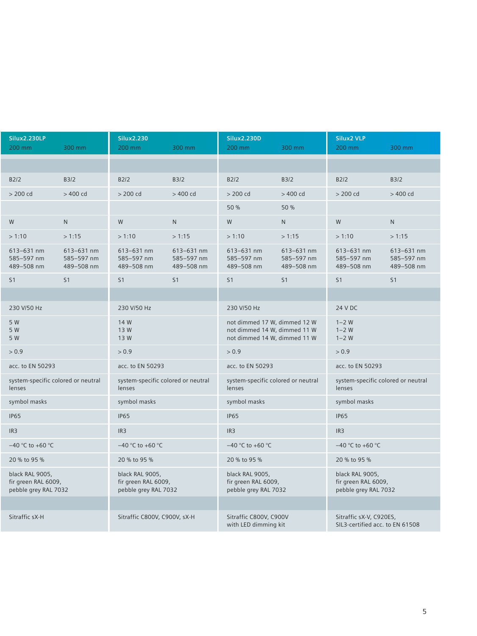| Silux2.230LP<br>200 mm                                         | 300 mm                                 | Silux2.230<br>200 mm                                           | 300 mm                                 | Silux2.230D<br>200 mm                                                                        | 300 mm                                 | Silux2 VLP<br>200 mm                                           | 300 mm                                 |
|----------------------------------------------------------------|----------------------------------------|----------------------------------------------------------------|----------------------------------------|----------------------------------------------------------------------------------------------|----------------------------------------|----------------------------------------------------------------|----------------------------------------|
|                                                                |                                        |                                                                |                                        |                                                                                              |                                        |                                                                |                                        |
| B2/2                                                           | B3/2                                   | B2/2                                                           | B3/2                                   | B2/2                                                                                         | B3/2                                   | B2/2                                                           | B3/2                                   |
| > 200 cd                                                       | $>400\,{\rm cd}$                       | $>200\,{\rm cd}$                                               | $>400\,{\rm cd}$                       | $>$ 200 cd                                                                                   | $>400\,{\rm cd}$                       | $>$ 200 cd                                                     | $>400\,{\rm cd}$                       |
|                                                                |                                        |                                                                |                                        | 50 %                                                                                         | 50 %                                   |                                                                |                                        |
| ${\sf W}$                                                      | N                                      | W                                                              | N                                      | ${\sf W}$                                                                                    | N                                      | ${\sf W}$                                                      | N                                      |
| >1:10                                                          | >1:15                                  | >1:10                                                          | >1:15                                  | >1:10                                                                                        | >1:15                                  | >1:10                                                          | >1:15                                  |
| 613-631 nm<br>585-597 nm<br>489-508 nm                         | 613-631 nm<br>585-597 nm<br>489-508 nm | 613-631 nm<br>585-597 nm<br>489-508 nm                         | 613-631 nm<br>585-597 nm<br>489-508 nm | 613-631 nm<br>585-597 nm<br>489-508 nm                                                       | 613-631 nm<br>585-597 nm<br>489-508 nm | 613-631 nm<br>585-597 nm<br>489-508 nm                         | 613-631 nm<br>585-597 nm<br>489-508 nm |
| S <sub>1</sub>                                                 | S1                                     | S1                                                             | S1                                     | S1                                                                                           | S1                                     | S1                                                             | S1                                     |
|                                                                |                                        |                                                                |                                        |                                                                                              |                                        |                                                                |                                        |
| 230 V/50 Hz                                                    |                                        | 230 V/50 Hz                                                    |                                        | 230 V/50 Hz                                                                                  |                                        | 24 V DC                                                        |                                        |
| 5 W<br>5 W<br>5 W                                              |                                        | 14 W<br>13W<br>13 W                                            |                                        | not dimmed 17 W, dimmed 12 W<br>not dimmed 14 W, dimmed 11 W<br>not dimmed 14 W, dimmed 11 W |                                        | $1 - 2 W$<br>$1 - 2$ W<br>$1-2$ W                              |                                        |
| > 0.9                                                          |                                        | > 0.9                                                          |                                        | > 0.9                                                                                        |                                        | > 0.9                                                          |                                        |
| acc. to EN 50293                                               |                                        | acc. to EN 50293                                               |                                        | acc. to EN 50293                                                                             |                                        | acc. to EN 50293                                               |                                        |
| lenses                                                         | system-specific colored or neutral     | system-specific colored or neutral<br>lenses                   |                                        | system-specific colored or neutral<br>lenses                                                 |                                        | system-specific colored or neutral<br>lenses                   |                                        |
| symbol masks                                                   |                                        | symbol masks                                                   |                                        | symbol masks                                                                                 |                                        | symbol masks                                                   |                                        |
| <b>IP65</b>                                                    |                                        | IP65                                                           |                                        | <b>IP65</b>                                                                                  |                                        | <b>IP65</b>                                                    |                                        |
| IR3                                                            |                                        | IR3                                                            |                                        | IR3                                                                                          |                                        | IR3                                                            |                                        |
| $-40$ °C to +60 °C                                             |                                        | $-40$ °C to +60 °C                                             |                                        | $-40$ °C to +60 °C                                                                           |                                        | $-40$ °C to +60 °C                                             |                                        |
| 20 % to 95 %                                                   |                                        | 20 % to 95 %                                                   |                                        | 20 % to 95 %                                                                                 |                                        | 20 % to 95 %                                                   |                                        |
| black RAL 9005,<br>fir green RAL 6009,<br>pebble grey RAL 7032 |                                        | black RAL 9005,<br>fir green RAL 6009,<br>pebble grey RAL 7032 |                                        | black RAL 9005,<br>fir green RAL 6009,<br>pebble grey RAL 7032                               |                                        | black RAL 9005,<br>fir green RAL 6009,<br>pebble grey RAL 7032 |                                        |
|                                                                |                                        |                                                                |                                        |                                                                                              |                                        |                                                                |                                        |
| Sitraffic sX-H                                                 |                                        | Sitraffic C800V, C900V, sX-H                                   |                                        | Sitraffic C800V, C900V<br>with LED dimming kit                                               |                                        | Sitraffic sX-V, C920ES,<br>SIL3-certified acc. to EN 61508     |                                        |
|                                                                |                                        |                                                                |                                        |                                                                                              |                                        |                                                                |                                        |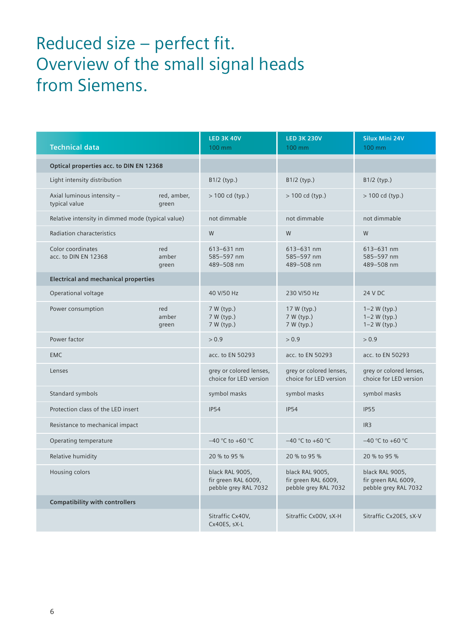## Reduced size – perfect fit. Overview of the small signal heads from Siemens.

| <b>Technical data</b>                             |                       | <b>LED 3K 40V</b><br>100 mm                                    | <b>LED 3K 230V</b><br>100 mm                                   | <b>Silux Mini 24V</b><br>100 mm                                |  |
|---------------------------------------------------|-----------------------|----------------------------------------------------------------|----------------------------------------------------------------|----------------------------------------------------------------|--|
| Optical properties acc. to DIN EN 12368           |                       |                                                                |                                                                |                                                                |  |
| Light intensity distribution                      |                       | $B1/2$ (typ.)                                                  | B1/2 (typ.)                                                    | B1/2 (typ.)                                                    |  |
| Axial luminous intensity -<br>typical value       | red, amber,<br>green  | $> 100$ cd (typ.)                                              | $> 100$ cd (typ.)                                              | $> 100$ cd (typ.)                                              |  |
| Relative intensity in dimmed mode (typical value) |                       | not dimmable                                                   | not dimmable                                                   | not dimmable                                                   |  |
| Radiation characteristics                         |                       | W                                                              | W                                                              | W                                                              |  |
| Color coordinates<br>acc. to DIN EN 12368         | red<br>amber<br>green | $613 - 631$ nm<br>585-597 nm<br>489-508 nm                     | $613 - 631$ nm<br>585-597 nm<br>489-508 nm                     | $613 - 631$ nm<br>585-597 nm<br>489-508 nm                     |  |
| <b>Electrical and mechanical properties</b>       |                       |                                                                |                                                                |                                                                |  |
| Operational voltage                               |                       | 40 V/50 Hz                                                     | 230 V/50 Hz                                                    | 24 V DC                                                        |  |
| Power consumption                                 | red<br>amber<br>green | 7 W (typ.)<br>7 W (typ.)<br>7 W (typ.)                         | 17 W (typ.)<br>7 W (typ.)<br>7 W (typ.)                        | $1 - 2 W$ (typ.)<br>$1 - 2 W$ (typ.)<br>$1 - 2 W$ (typ.)       |  |
| Power factor                                      |                       | > 0.9                                                          | > 0.9                                                          | > 0.9                                                          |  |
| <b>EMC</b>                                        |                       | acc. to EN 50293                                               | acc. to EN 50293                                               | acc. to EN 50293                                               |  |
| Lenses                                            |                       | grey or colored lenses,<br>choice for LED version              | grey or colored lenses,<br>choice for LED version              | grey or colored lenses,<br>choice for LED version              |  |
| Standard symbols                                  |                       | symbol masks                                                   | symbol masks                                                   | symbol masks                                                   |  |
| Protection class of the LED insert                |                       | <b>IP54</b>                                                    | <b>IP54</b>                                                    | <b>IP55</b>                                                    |  |
| Resistance to mechanical impact                   |                       |                                                                |                                                                | IR <sub>3</sub>                                                |  |
| Operating temperature                             |                       | $-40$ °C to +60 °C                                             | $-40$ °C to +60 °C                                             | $-40$ °C to +60 °C                                             |  |
| Relative humidity                                 |                       | 20 % to 95 %                                                   | 20 % to 95 %                                                   | 20 % to 95 %                                                   |  |
| Housing colors                                    |                       | black RAL 9005,<br>fir green RAL 6009,<br>pebble grey RAL 7032 | black RAL 9005,<br>fir green RAL 6009,<br>pebble grey RAL 7032 | black RAL 9005,<br>fir green RAL 6009,<br>pebble grey RAL 7032 |  |
| <b>Compatibility with controllers</b>             |                       |                                                                |                                                                |                                                                |  |
|                                                   |                       | Sitraffic Cx40V,<br>Cx40ES, sX-L                               | Sitraffic Cx00V, sX-H                                          | Sitraffic Cx20ES, sX-V                                         |  |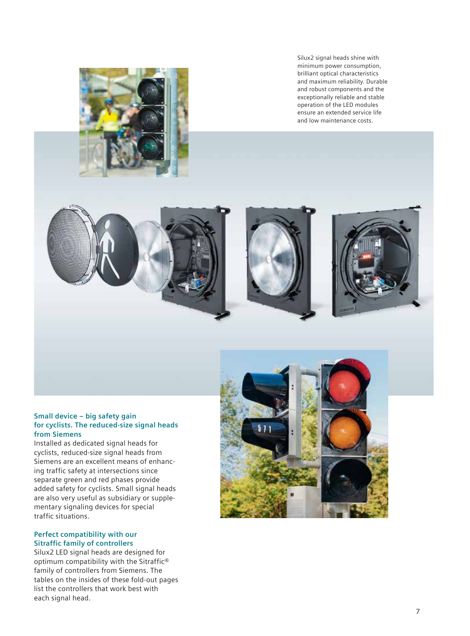

Silux2 signal heads shine with minimum power consumption, brilliant optical characteristics and maximum reliability. Durable and robust components and the exceptionally reliable and stable operation of the LED modules ensure an extended service life and low maintenance costs.



#### **Small device – big safety gain for cyclists. The reduced-size signal heads from Siemens**

Installed as dedicated signal heads for cyclists, reduced-size signal heads from Siemens are an excellent means of enhancing traffic safety at intersections since separate green and red phases provide added safety for cyclists. Small signal heads are also very useful as subsidiary or supplementary signaling devices for special traffic situations.

#### **Perfect compatibility with our Sitraffic family of controllers**

Silux2 LED signal heads are designed for optimum compatibility with the Sitraffic® family of controllers from Siemens. The tables on the insides of these fold-out pages list the controllers that work best with each signal head.